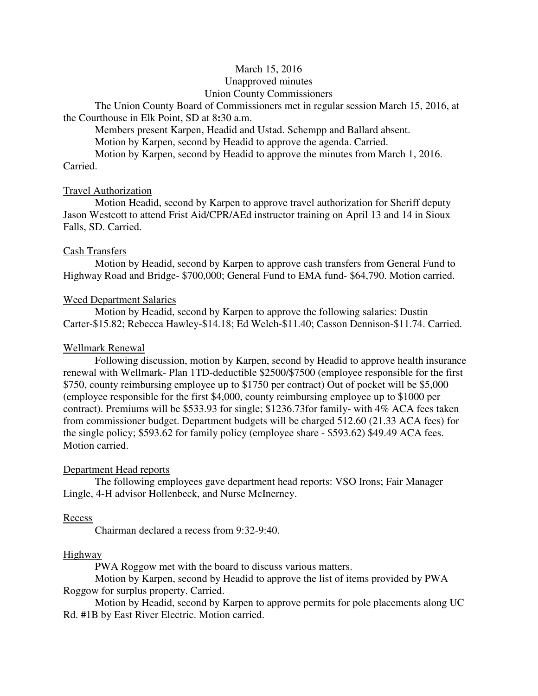## March 15, 2016

## Unapproved minutes

## Union County Commissioners

The Union County Board of Commissioners met in regular session March 15, 2016, at the Courthouse in Elk Point, SD at 8**:**30 a.m.

 Members present Karpen, Headid and Ustad. Schempp and Ballard absent. Motion by Karpen, second by Headid to approve the agenda. Carried.

 Motion by Karpen, second by Headid to approve the minutes from March 1, 2016. Carried.

### Travel Authorization

 Motion Headid, second by Karpen to approve travel authorization for Sheriff deputy Jason Westcott to attend Frist Aid/CPR/AEd instructor training on April 13 and 14 in Sioux Falls, SD. Carried.

## Cash Transfers

 Motion by Headid, second by Karpen to approve cash transfers from General Fund to Highway Road and Bridge- \$700,000; General Fund to EMA fund- \$64,790. Motion carried.

## Weed Department Salaries

 Motion by Headid, second by Karpen to approve the following salaries: Dustin Carter-\$15.82; Rebecca Hawley-\$14.18; Ed Welch-\$11.40; Casson Dennison-\$11.74. Carried.

## Wellmark Renewal

 Following discussion, motion by Karpen, second by Headid to approve health insurance renewal with Wellmark- Plan 1TD-deductible \$2500/\$7500 (employee responsible for the first \$750, county reimbursing employee up to \$1750 per contract) Out of pocket will be \$5,000 (employee responsible for the first \$4,000, county reimbursing employee up to \$1000 per contract). Premiums will be \$533.93 for single; \$1236.73for family- with 4% ACA fees taken from commissioner budget. Department budgets will be charged 512.60 (21.33 ACA fees) for the single policy; \$593.62 for family policy (employee share - \$593.62) \$49.49 ACA fees. Motion carried.

### Department Head reports

 The following employees gave department head reports: VSO Irons; Fair Manager Lingle, 4-H advisor Hollenbeck, and Nurse McInerney.

### Recess

Chairman declared a recess from 9:32-9:40.

### Highway

PWA Roggow met with the board to discuss various matters.

 Motion by Karpen, second by Headid to approve the list of items provided by PWA Roggow for surplus property. Carried.

 Motion by Headid, second by Karpen to approve permits for pole placements along UC Rd. #1B by East River Electric. Motion carried.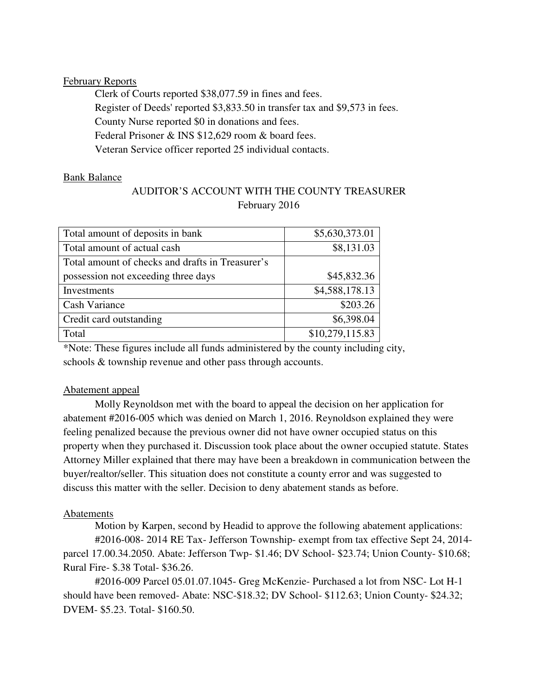# February Reports

 Clerk of Courts reported \$38,077.59 in fines and fees. Register of Deeds' reported \$3,833.50 in transfer tax and \$9,573 in fees. County Nurse reported \$0 in donations and fees. Federal Prisoner & INS \$12,629 room & board fees. Veteran Service officer reported 25 individual contacts.

# Bank Balance

# AUDITOR'S ACCOUNT WITH THE COUNTY TREASURER February 2016

| Total amount of deposits in bank                 | \$5,630,373.01  |
|--------------------------------------------------|-----------------|
| Total amount of actual cash                      | \$8,131.03      |
| Total amount of checks and drafts in Treasurer's |                 |
| possession not exceeding three days              | \$45,832.36     |
| Investments                                      | \$4,588,178.13  |
| Cash Variance                                    | \$203.26        |
| Credit card outstanding                          | \$6,398.04      |
| Total                                            | \$10,279,115.83 |

\*Note: These figures include all funds administered by the county including city, schools & township revenue and other pass through accounts.

# Abatement appeal

 Molly Reynoldson met with the board to appeal the decision on her application for abatement #2016-005 which was denied on March 1, 2016. Reynoldson explained they were feeling penalized because the previous owner did not have owner occupied status on this property when they purchased it. Discussion took place about the owner occupied statute. States Attorney Miller explained that there may have been a breakdown in communication between the buyer/realtor/seller. This situation does not constitute a county error and was suggested to discuss this matter with the seller. Decision to deny abatement stands as before.

# Abatements

 Motion by Karpen, second by Headid to approve the following abatement applications: #2016-008- 2014 RE Tax- Jefferson Township- exempt from tax effective Sept 24, 2014 parcel 17.00.34.2050. Abate: Jefferson Twp- \$1.46; DV School- \$23.74; Union County- \$10.68; Rural Fire- \$.38 Total- \$36.26.

 #2016-009 Parcel 05.01.07.1045- Greg McKenzie- Purchased a lot from NSC- Lot H-1 should have been removed- Abate: NSC-\$18.32; DV School- \$112.63; Union County- \$24.32; DVEM- \$5.23. Total- \$160.50.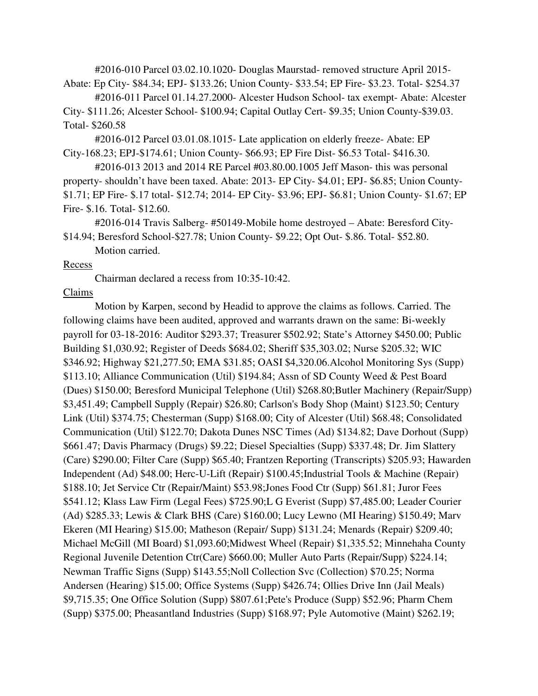#2016-010 Parcel 03.02.10.1020- Douglas Maurstad- removed structure April 2015- Abate: Ep City- \$84.34; EPJ- \$133.26; Union County- \$33.54; EP Fire- \$3.23. Total- \$254.37

 #2016-011 Parcel 01.14.27.2000- Alcester Hudson School- tax exempt- Abate: Alcester City- \$111.26; Alcester School- \$100.94; Capital Outlay Cert- \$9.35; Union County-\$39.03. Total- \$260.58

 #2016-012 Parcel 03.01.08.1015- Late application on elderly freeze- Abate: EP City-168.23; EPJ-\$174.61; Union County- \$66.93; EP Fire Dist- \$6.53 Total- \$416.30.

 #2016-013 2013 and 2014 RE Parcel #03.80.00.1005 Jeff Mason- this was personal property- shouldn't have been taxed. Abate: 2013- EP City- \$4.01; EPJ- \$6.85; Union County- \$1.71; EP Fire- \$.17 total- \$12.74; 2014- EP City- \$3.96; EPJ- \$6.81; Union County- \$1.67; EP Fire- \$.16. Total- \$12.60.

 #2016-014 Travis Salberg- #50149-Mobile home destroyed – Abate: Beresford City- \$14.94; Beresford School-\$27.78; Union County- \$9.22; Opt Out- \$.86. Total- \$52.80.

Motion carried.

### Recess

Chairman declared a recess from 10:35-10:42.

### Claims

 Motion by Karpen, second by Headid to approve the claims as follows. Carried. The following claims have been audited, approved and warrants drawn on the same: Bi-weekly payroll for 03-18-2016: Auditor \$293.37; Treasurer \$502.92; State's Attorney \$450.00; Public Building \$1,030.92; Register of Deeds \$684.02; Sheriff \$35,303.02; Nurse \$205.32; WIC \$346.92; Highway \$21,277.50; EMA \$31.85; OASI \$4,320.06.Alcohol Monitoring Sys (Supp) \$113.10; Alliance Communication (Util) \$194.84; Assn of SD County Weed & Pest Board (Dues) \$150.00; Beresford Municipal Telephone (Util) \$268.80;Butler Machinery (Repair/Supp) \$3,451.49; Campbell Supply (Repair) \$26.80; Carlson's Body Shop (Maint) \$123.50; Century Link (Util) \$374.75; Chesterman (Supp) \$168.00; City of Alcester (Util) \$68.48; Consolidated Communication (Util) \$122.70; Dakota Dunes NSC Times (Ad) \$134.82; Dave Dorhout (Supp) \$661.47; Davis Pharmacy (Drugs) \$9.22; Diesel Specialties (Supp) \$337.48; Dr. Jim Slattery (Care) \$290.00; Filter Care (Supp) \$65.40; Frantzen Reporting (Transcripts) \$205.93; Hawarden Independent (Ad) \$48.00; Herc-U-Lift (Repair) \$100.45;Industrial Tools & Machine (Repair) \$188.10; Jet Service Ctr (Repair/Maint) \$53.98;Jones Food Ctr (Supp) \$61.81; Juror Fees \$541.12; Klass Law Firm (Legal Fees) \$725.90;L G Everist (Supp) \$7,485.00; Leader Courier (Ad) \$285.33; Lewis & Clark BHS (Care) \$160.00; Lucy Lewno (MI Hearing) \$150.49; Marv Ekeren (MI Hearing) \$15.00; Matheson (Repair/ Supp) \$131.24; Menards (Repair) \$209.40; Michael McGill (MI Board) \$1,093.60;Midwest Wheel (Repair) \$1,335.52; Minnehaha County Regional Juvenile Detention Ctr(Care) \$660.00; Muller Auto Parts (Repair/Supp) \$224.14; Newman Traffic Signs (Supp) \$143.55;Noll Collection Svc (Collection) \$70.25; Norma Andersen (Hearing) \$15.00; Office Systems (Supp) \$426.74; Ollies Drive Inn (Jail Meals) \$9,715.35; One Office Solution (Supp) \$807.61;Pete's Produce (Supp) \$52.96; Pharm Chem (Supp) \$375.00; Pheasantland Industries (Supp) \$168.97; Pyle Automotive (Maint) \$262.19;